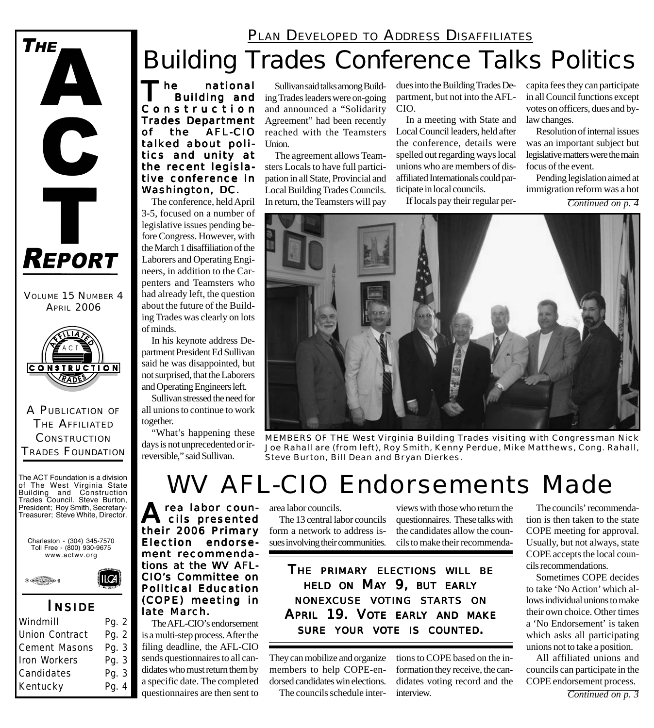### PLAN DEVELOPED TO ADDRESS DISAFFILIATES

# Building Trades Conference Talks Politics

The national<br>Building and Constr uction Trades Department<br>of the AFL-CIO the AFL-CIO talked about politics and unity at the recent legislative conference in Washington, DC.

The conference, held April 3-5, focused on a number of legislative issues pending before Congress. However, with the March 1 disaffiliation of the Laborers and Operating Engineers, in addition to the Carpenters and Teamsters who had already left, the question about the future of the Building Trades was clearly on lots of minds.

In his keynote address Department President Ed Sullivan said he was disappointed, but not surprised, that the Laborers and Operating Engineers left.

Sullivan stressed the need for all unions to continue to work together.

A PUBLICATION OF THE AFFILIATED **CONSTRUCTION** TRADES FOUNDATION

**CONSTRUCTION** RADES

VOLUME 15 NUMBER 4 **APRIL 2006** 

REPORT

 $\mathbf C$ 

Ť

**THE** 

The ACT Foundation is a division of The West Virginia State Building and Construction Trades Council. Steve Burton, President; Roy Smith, Secretary-Treasurer; Steve White, Director.

Charleston - (304) 345-7570 Toll Free - (800) 930-9675 www.actwv.org

*I NSIDE* Windmill Pg. 2 Union Contract Pq. 2 Cement Masons Pg. 3 Iron Workers Pg. 3 Candidates Pg. 3 Kentucky Pg. 4

 $\odot$   $\bigoplus$   $\bigoplus$   $\bigoplus$   $\bigoplus$   $\bigoplus$   $\bigoplus$   $\bigoplus$   $\bigoplus$   $\bigoplus$   $\bigoplus$   $\bigoplus$   $\bigoplus$   $\bigoplus$   $\bigoplus$   $\bigoplus$   $\bigoplus$   $\bigoplus$   $\bigoplus$   $\bigoplus$   $\bigoplus$   $\bigoplus$   $\bigoplus$   $\bigoplus$   $\bigoplus$   $\bigoplus$   $\bigoplus$   $\bigoplus$   $\bigoplus$   $\bigoplus$   $\bigoplus$   $\bigoplus$ 

**ILCA** 

"What's happening these days is not unprecedented or irreversible," said Sullivan.

Sullivan said talks among Building Trades leaders were on-going and announced a "Solidarity Agreement" had been recently reached with the Teamsters Union.

The agreement allows Teamsters Locals to have full participation in all State, Provincial and Local Building Trades Councils. In return, the Teamsters will pay

dues into the Building Trades Department, but not into the AFL-CIO.

In a meeting with State and Local Council leaders, held after the conference, details were spelled out regarding ways local unions who are members of disaffiliated Internationals could participate in local councils.

If locals pay their regular per-

capita fees they can participate in all Council functions except votes on officers, dues and bylaw changes.

Resolution of internal issues was an important subject but legislative matters were the main focus of the event.

Pending legislation aimed at immigration reform was a hot

*Continued on p. 4*



*MEMBERS OF THE West Virginia Building Trades visiting with Congressman Nick Joe Rahall are (from left), Roy Smith, Kenny Perdue, Mike Matthews, Cong. Rahall, Steve Burton, Bill Dean and Bryan Dierkes.*

# WV AFL-CIO Endorsements Made

A rea labor coun-<br>
cils presented their 2006 Primary Election endorse- Election endorsement recommendations at the WV AFL-CIO's Committee on Political Education (COPE) meeting in late March.

The AFL-CIO's endorsement is a multi-step process. After the filing deadline, the AFL-CIO sends questionnaires to all candidates who must return them by a specific date. The completed questionnaires are then sent to

area labor councils.

The 13 central labor councils form a network to address issues involving their communities.

views with those who return the questionnaires. These talks with the candidates allow the councils to make their recommenda-

*THE PRIMARY ELECTIONS WILL BE HELD ON MAY 9, BUT EARLY NONEXCUSE VOTING STARTS ON APRIL 19. VOTE EARLY AND MAKE SURE YOUR VOTE IS COUNTED.*

They can mobilize and organize members to help COPE-endorsed candidates win elections.

The councils schedule inter-

tions to COPE based on the information they receive, the candidates voting record and the interview.

The councils' recommendation is then taken to the state COPE meeting for approval. Usually, but not always, state COPE accepts the local councils recommendations.

Sometimes COPE decides to take 'No Action' which allows individual unions to make their own choice. Other times a 'No Endorsement' is taken which asks all participating unions not to take a position.

All affiliated unions and councils can participate in the COPE endorsement process.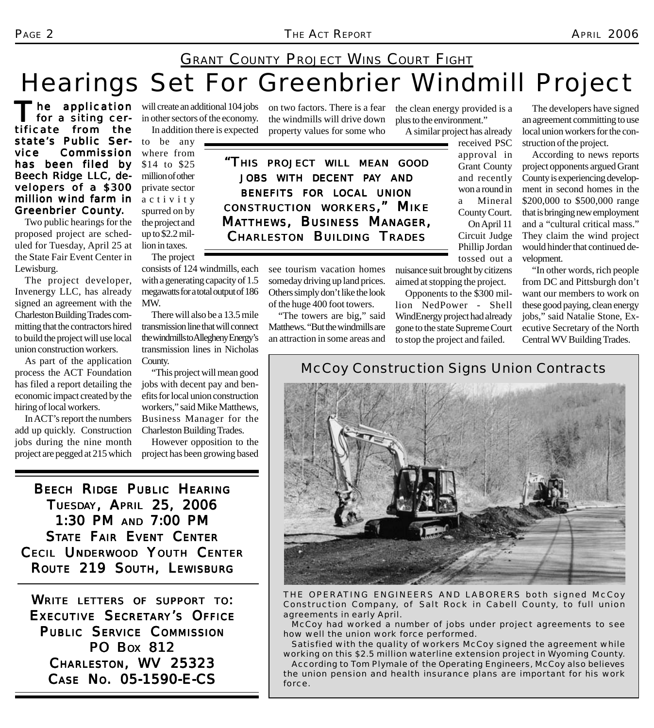### Hearings Set For Greenbrier Windmill Project **GRANT COUNTY PROJECT WINS COURT FIGHT**

he application for a siting certificate from the state's Public Service Commission has been filed by Beech Ridge LLC, developers of a \$300 million wind farm in Greenbrier County.

Two public hearings for the proposed project are scheduled for Tuesday, April 25 at the State Fair Event Center in Lewisburg.

The project developer, Invenergy LLC, has already signed an agreement with the Charleston Building Trades committing that the contractors hired to build the project will use local union construction workers.

As part of the application process the ACT Foundation has filed a report detailing the economic impact created by the hiring of local workers.

In ACT's report the numbers add up quickly. Construction jobs during the nine month project are pegged at 215 which will create an additional 104 jobs in other sectors of the economy.

consists of 124 windmills, each with a generating capacity of 1.5 megawatts for a total output of 186

There will also be a 13.5 mile transmission line that will connect the windmills to Allegheny Energy's transmission lines in Nicholas

"This project will mean good jobs with decent pay and benefits for local union construction workers," said Mike Matthews, Business Manager for the Charleston Building Trades.

However opposition to the project has been growing based

to be any where from \$14 to \$25 million of other private sector activity spurred on by the project and up to \$2.2 million in taxes. The project

MW.

County.

In addition there is expected property values for some who the windmills will drive down

on two factors. There is a fear the clean energy provided is a plus to the environment."

A similar project has already

approval in Grant County and recently won a round in a Mineral County Court. On April 11 Circuit Judge Phillip Jordan tossed out a

received PSC

The developers have signed an agreement committing to use local union workers for the construction of the project.

According to news reports project opponents argued Grant County is experiencing development in second homes in the \$200,000 to \$500,000 range that is bringing new employment and a "cultural critical mass." They claim the wind project would hinder that continued development.

"In other words, rich people from DC and Pittsburgh don't want our members to work on these good paying, clean energy jobs," said Natalie Stone, Executive Secretary of the North Central WV Building Trades.

*"THIS PROJECT WILL MEAN GOOD JOBS WITH DECENT PAY AND BENEFITS FOR LOCAL UNION CONSTRUCTION WORKERS, " MIKE MATTHEWS, BUSINESS MANAGER, CHARLESTON BUILDING TRADES*

> see tourism vacation homes someday driving up land prices. Others simply don't like the look of the huge 400 foot towers.

"The towers are big," said Matthews. "But the windmills are an attraction in some areas and

*McCoy Construction Signs Union Contracts*

nuisance suit brought by citizens aimed at stopping the project. Opponents to the \$300 million NedPower - Shell WindEnergy project had already gone to the state Supreme Court to stop the project and failed.



*THE OPERATING ENGINEERS AND LABORERS both signed McCoy Construction Company, of Salt Rock in Cabell County, to full union agreements in early April.*

*McCoy had worked a number of jobs under project agreements to see how well the union work force performed.*

*Satisfied with the quality of workers McCoy signed the agreement while working on this \$2.5 million waterline extension project in Wyoming County. According to Tom Plymale of the Operating Engineers, McCoy also believes the union pension and health insurance plans are important for his work force.*

*BEECH RIDGE PUBLIC HEARING TUESDAY, APRIL 25, 2006* 1:30 PM AND 7:00 PM *STATE FAIR EVENT CENTER CECIL UNDERWOOD YOUTH CENTER ROUTE 219 SOUTH, LEWISBURG*

*WRITE LETTERS OF SUPPORT TO: EXECUTIVE SECRETARY'S OFFICE PUBLIC SERVICE COMMISSION PO BOX 812 CHARLESTON, WV 25323 CASE NO. 05-1590-E-CS*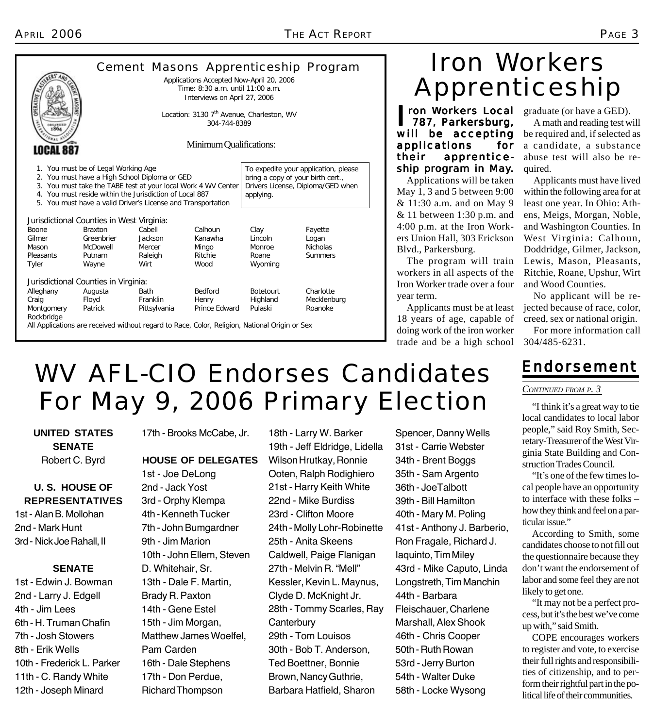|                                                                                                                                                                                                                                                                                  |                                                                       |                                                                                                              |                  |                                                                                                                             | Cement Masons Apprenticeship Program |  |
|----------------------------------------------------------------------------------------------------------------------------------------------------------------------------------------------------------------------------------------------------------------------------------|-----------------------------------------------------------------------|--------------------------------------------------------------------------------------------------------------|------------------|-----------------------------------------------------------------------------------------------------------------------------|--------------------------------------|--|
|                                                                                                                                                                                                                                                                                  |                                                                       | Applications Accepted Now-April 20, 2006<br>Time: 8:30 a.m. until 11:00 a.m.<br>Interviews on April 27, 2006 |                  |                                                                                                                             |                                      |  |
| <b>OPERA</b><br><b>1864</b>                                                                                                                                                                                                                                                      | Location: 3130 7 <sup>th</sup> Avenue, Charleston, WV<br>304-744-8389 |                                                                                                              |                  |                                                                                                                             |                                      |  |
| Minimum Qualifications:<br>LOCAL 887                                                                                                                                                                                                                                             |                                                                       |                                                                                                              |                  |                                                                                                                             |                                      |  |
| 1. You must be of Legal Working Age<br>2. You must have a High School Diploma or GED<br>3. You must take the TABE test at your local Work 4 WV Center<br>4. You must reside within the Jurisdiction of Local 887<br>5. You must have a valid Driver's License and Transportation |                                                                       |                                                                                                              |                  | To expedite your application, please<br>bring a copy of your birth cert.,<br>Drivers License, Diploma/GED when<br>applying. |                                      |  |
| Jurisdictional Counties in West Virginia:                                                                                                                                                                                                                                        |                                                                       |                                                                                                              |                  |                                                                                                                             |                                      |  |
| <b>Boone</b>                                                                                                                                                                                                                                                                     | <b>Braxton</b>                                                        | Cabell                                                                                                       | Calhoun          | Clay                                                                                                                        | Fayette                              |  |
| Gilmer                                                                                                                                                                                                                                                                           | Greenbrier                                                            | Jackson                                                                                                      | Kanawha          | Lincoln                                                                                                                     | Logan                                |  |
| Mason<br>Pleasants                                                                                                                                                                                                                                                               | McDowell<br>Putnam                                                    | Mercer<br>Raleigh                                                                                            | Mingo<br>Ritchie | Monroe<br>Roane                                                                                                             | <b>Nicholas</b><br><b>Summers</b>    |  |
| <b>Tyler</b>                                                                                                                                                                                                                                                                     | Wayne                                                                 | Wirt                                                                                                         | Wood             | Wyoming                                                                                                                     |                                      |  |
| Jurisdictional Counties in Virginia:                                                                                                                                                                                                                                             |                                                                       |                                                                                                              |                  |                                                                                                                             |                                      |  |
| Alleghany                                                                                                                                                                                                                                                                        | Augusta                                                               | <b>Bath</b>                                                                                                  | <b>Bedford</b>   | <b>Botetourt</b>                                                                                                            | Charlotte                            |  |
| Craig                                                                                                                                                                                                                                                                            | Floyd                                                                 | Franklin                                                                                                     | Henry            | Highland                                                                                                                    | Mecklenburg                          |  |
| Montgomery<br>Rockbridge                                                                                                                                                                                                                                                         | Patrick                                                               | Pittsylvania                                                                                                 | Prince Edward    | Pulaski                                                                                                                     | Roanoke                              |  |
|                                                                                                                                                                                                                                                                                  |                                                                       | All Applications are received without regard to Race, Color, Religion, National Origin or Sex                |                  |                                                                                                                             |                                      |  |

## Iron Workers Apprenticeship

**I ron Workers Local** graduate (or have a GED).<br> **1787, Parkersburg,** A math and reading test w 787, Parkersburg, will be accepting applications for their apprenticeship program in May.

Applications will be taken May 1, 3 and 5 between 9:00 & 11:30 a.m. and on May 9 & 11 between 1:30 p.m. and 4:00 p.m. at the Iron Workers Union Hall, 303 Erickson Blvd., Parkersburg.

The program will train workers in all aspects of the Iron Worker trade over a four year term.

Applicants must be at least 18 years of age, capable of doing work of the iron worker trade and be a high school

A math and reading test will be required and, if selected as a candidate, a substance abuse test will also be required.

Applicants must have lived within the following area for at least one year. In Ohio: Athens, Meigs, Morgan, Noble, and Washington Counties. In West Virginia: Calhoun, Doddridge, Gilmer, Jackson, Lewis, Mason, Pleasants, Ritchie, Roane, Upshur, Wirt and Wood Counties.

No applicant will be rejected because of race, color, creed, sex or national origin.

For more information call 304/485-6231.

### *Endorsement Endorsement*

#### *CONTINUED FROM P. 3*

"I think it's a great way to tie local candidates to local labor people," said Roy Smith, Secretary-Treasurer of the West Virginia State Building and Construction Trades Council.

"It's one of the few times local people have an opportunity to interface with these folks – how they think and feel on a particular issue."

According to Smith, some candidates choose to not fill out the questionnaire because they don't want the endorsement of labor and some feel they are not likely to get one.

"It may not be a perfect process, but it's the best we've come up with," said Smith.

COPE encourages workers to register and vote, to exercise their full rights and responsibilities of citizenship, and to perform their rightful part in the political life of their communities.

# WV AFL-CIO Endorses Candidates For May 9, 2006 Primary Election

**UNITED STATES SENATE** Robert C. Byrd

### **U. S. HOUSE OF REPRESENTATIVES**

1st - Alan B. Mollohan 2nd - Mark Hunt 3rd - Nick Joe Rahall, II

### **SENATE**

1st - Edwin J. Bowman 2nd - Larry J. Edgell 4th - Jim Lees 6th - H. Truman Chafin 7th - Josh Stowers 8th - Erik Wells 10th - Frederick L. Parker 11th - C. Randy White 12th - Joseph Minard

17th - Brooks McCabe, Jr.

#### **HOUSE OF DELEGATES**

1st - Joe DeLong 2nd - Jack Yost 3rd - Orphy Klempa 4th - Kenneth Tucker 7th - John Bumgardner 9th - Jim Marion 10th - John Ellem, Steven D. Whitehair, Sr. 13th - Dale F. Martin, Brady R. Paxton 14th - Gene Estel 15th - Jim Morgan, Matthew James Woelfel, Pam Carden 16th - Dale Stephens 17th - Don Perdue, Richard Thompson

18th - Larry W. Barker 19th - Jeff Eldridge, Lidella Wilson Hrutkay, Ronnie Ooten, Ralph Rodighiero 21st - Harry Keith White 22nd - Mike Burdiss 23rd - Clifton Moore 24th - Molly Lohr-Robinette 25th - Anita Skeens Caldwell, Paige Flanigan 27th - Melvin R. "Mell" Kessler, Kevin L. Maynus, Clyde D. McKnight Jr. 28th - Tommy Scarles, Ray **Canterbury** 29th - Tom Louisos 30th - Bob T. Anderson, Ted Boettner, Bonnie Brown, Nancy Guthrie, Barbara Hatfield, Sharon

Spencer, Danny Wells 31st - Carrie Webster 34th - Brent Boggs 35th - Sam Argento 36th - JoeTalbott 39th - Bill Hamilton 40th - Mary M. Poling 41st - Anthony J. Barberio, Ron Fragale, Richard J. Iaquinto, Tim Miley 43rd - Mike Caputo, Linda Longstreth, Tim Manchin 44th - Barbara Fleischauer, Charlene Marshall, Alex Shook 46th - Chris Cooper 50th - Ruth Rowan 53rd - Jerry Burton 54th - Walter Duke 58th - Locke Wysong